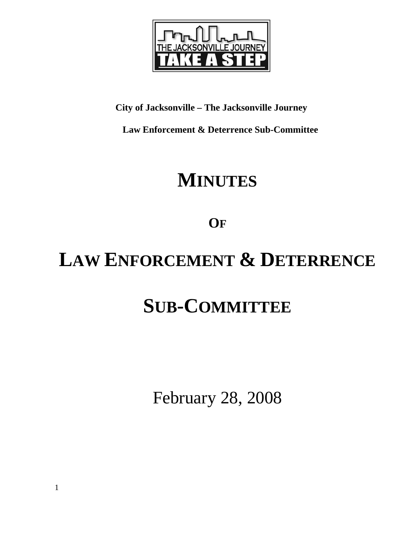

### **City of Jacksonville – The Jacksonville Journey**

 **Law Enforcement & Deterrence Sub-Committee** 

## **MINUTES**

**OF**

# **LAW ENFORCEMENT & DETERRENCE**

# **SUB-COMMITTEE**

February 28, 2008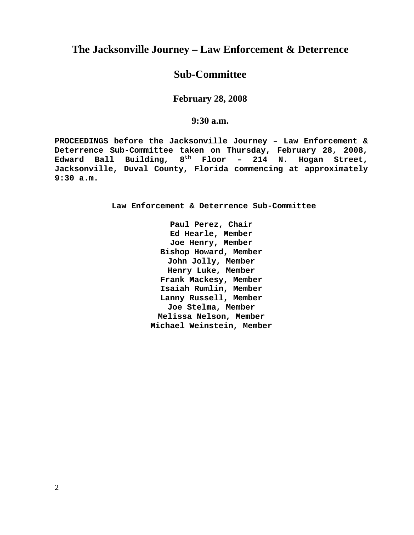### **The Jacksonville Journey – Law Enforcement & Deterrence**

### **Sub-Committee**

**February 28, 2008** 

**9:30 a.m.**

**PROCEEDINGS before the Jacksonville Journey – Law Enforcement & Deterrence Sub-Committee taken on Thursday, February 28, 2008, Edward Ball Building, 8th Floor – 214 N. Hogan Street, Jacksonville, Duval County, Florida commencing at approximately 9:30 a.m.** 

**Law Enforcement & Deterrence Sub-Committee** 

**Paul Perez, Chair Ed Hearle, Member Joe Henry, Member Bishop Howard, Member John Jolly, Member Henry Luke, Member Frank Mackesy, Member Isaiah Rumlin, Member Lanny Russell, Member Joe Stelma, Member Melissa Nelson, Member Michael Weinstein, Member**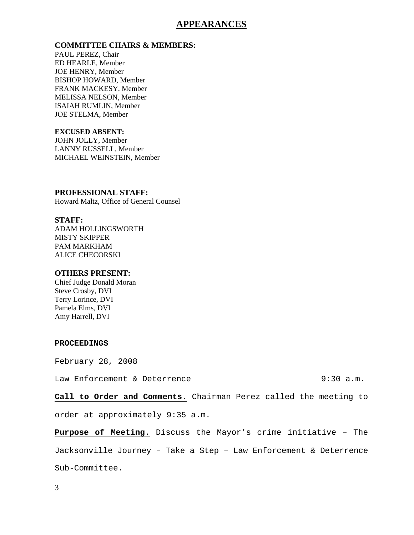#### **APPEARANCES**

#### **COMMITTEE CHAIRS & MEMBERS:**

PAUL PEREZ, Chair ED HEARLE, Member JOE HENRY, Member BISHOP HOWARD, Member FRANK MACKESY, Member MELISSA NELSON, Member ISAIAH RUMLIN, Member JOE STELMA, Member

#### **EXCUSED ABSENT:**

JOHN JOLLY, Member LANNY RUSSELL, Member MICHAEL WEINSTEIN, Member

## **PROFESSIONAL STAFF:**

Howard Maltz, Office of General Counsel

#### **STAFF:**

ADAM HOLLINGSWORTH MISTY SKIPPER PAM MARKHAM ALICE CHECORSKI

#### **OTHERS PRESENT:**

Chief Judge Donald Moran Steve Crosby, DVI Terry Lorince, DVI Pamela Elms, DVI Amy Harrell, DVI

#### **PROCEEDINGS**

February 28, 2008

Law Enforcement & Deterrence 9:30 a.m.

**Call to Order and Comments.** Chairman Perez called the meeting to

order at approximately 9:35 a.m.

**Purpose of Meeting.** Discuss the Mayor's crime initiative – The Jacksonville Journey – Take a Step – Law Enforcement & Deterrence Sub-Committee.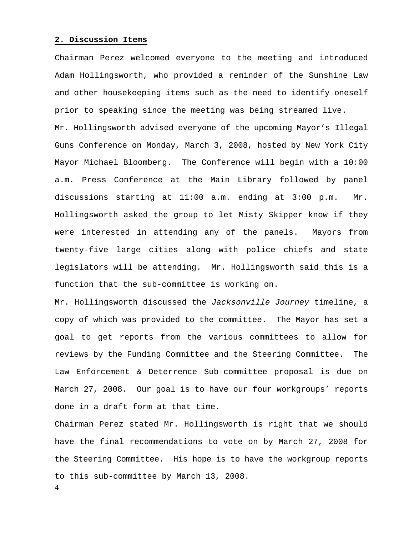#### **2. Discussion Items**

Chairman Perez welcomed everyone to the meeting and introduced Adam Hollingsworth, who provided a reminder of the Sunshine Law and other housekeeping items such as the need to identify oneself prior to speaking since the meeting was being streamed live.

Mr. Hollingsworth advised everyone of the upcoming Mayor's Illegal Guns Conference on Monday, March 3, 2008, hosted by New York City Mayor Michael Bloomberg. The Conference will begin with a 10:00 a.m. Press Conference at the Main Library followed by panel discussions starting at 11:00 a.m. ending at 3:00 p.m. Mr. Hollingsworth asked the group to let Misty Skipper know if they were interested in attending any of the panels. Mayors from twenty-five large cities along with police chiefs and state legislators will be attending. Mr. Hollingsworth said this is a function that the sub-committee is working on.

Mr. Hollingsworth discussed the *Jacksonville Journey* timeline, a copy of which was provided to the committee. The Mayor has set a goal to get reports from the various committees to allow for reviews by the Funding Committee and the Steering Committee. The Law Enforcement & Deterrence Sub-committee proposal is due on March 27, 2008. Our goal is to have our four workgroups' reports done in a draft form at that time.

Chairman Perez stated Mr. Hollingsworth is right that we should have the final recommendations to vote on by March 27, 2008 for the Steering Committee. His hope is to have the workgroup reports to this sub-committee by March 13, 2008.

4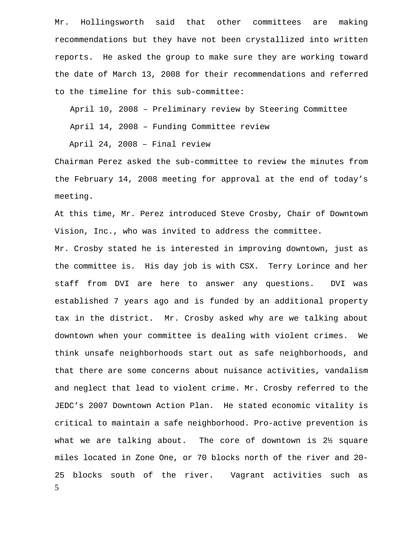Mr. Hollingsworth said that other committees are making recommendations but they have not been crystallized into written reports. He asked the group to make sure they are working toward the date of March 13, 2008 for their recommendations and referred to the timeline for this sub-committee:

April 10, 2008 – Preliminary review by Steering Committee

April 14, 2008 – Funding Committee review

April 24, 2008 – Final review

Chairman Perez asked the sub-committee to review the minutes from the February 14, 2008 meeting for approval at the end of today's meeting.

At this time, Mr. Perez introduced Steve Crosby, Chair of Downtown Vision, Inc., who was invited to address the committee.

5 Mr. Crosby stated he is interested in improving downtown, just as the committee is. His day job is with CSX. Terry Lorince and her staff from DVI are here to answer any questions. DVI was established 7 years ago and is funded by an additional property tax in the district. Mr. Crosby asked why are we talking about downtown when your committee is dealing with violent crimes. We think unsafe neighborhoods start out as safe neighborhoods, and that there are some concerns about nuisance activities, vandalism and neglect that lead to violent crime. Mr. Crosby referred to the JEDC's 2007 Downtown Action Plan. He stated economic vitality is critical to maintain a safe neighborhood. Pro-active prevention is what we are talking about. The core of downtown is 2½ square miles located in Zone One, or 70 blocks north of the river and 20- 25 blocks south of the river. Vagrant activities such as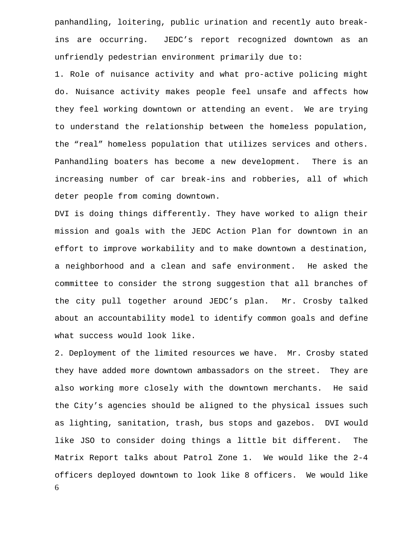panhandling, loitering, public urination and recently auto breakins are occurring. JEDC's report recognized downtown as an unfriendly pedestrian environment primarily due to:

1. Role of nuisance activity and what pro-active policing might do. Nuisance activity makes people feel unsafe and affects how they feel working downtown or attending an event. We are trying to understand the relationship between the homeless population, the "real" homeless population that utilizes services and others. Panhandling boaters has become a new development. There is an increasing number of car break-ins and robberies, all of which deter people from coming downtown.

DVI is doing things differently. They have worked to align their mission and goals with the JEDC Action Plan for downtown in an effort to improve workability and to make downtown a destination, a neighborhood and a clean and safe environment. He asked the committee to consider the strong suggestion that all branches of the city pull together around JEDC's plan. Mr. Crosby talked about an accountability model to identify common goals and define what success would look like.

6 2. Deployment of the limited resources we have. Mr. Crosby stated they have added more downtown ambassadors on the street. They are also working more closely with the downtown merchants. He said the City's agencies should be aligned to the physical issues such as lighting, sanitation, trash, bus stops and gazebos. DVI would like JSO to consider doing things a little bit different. The Matrix Report talks about Patrol Zone 1. We would like the 2-4 officers deployed downtown to look like 8 officers. We would like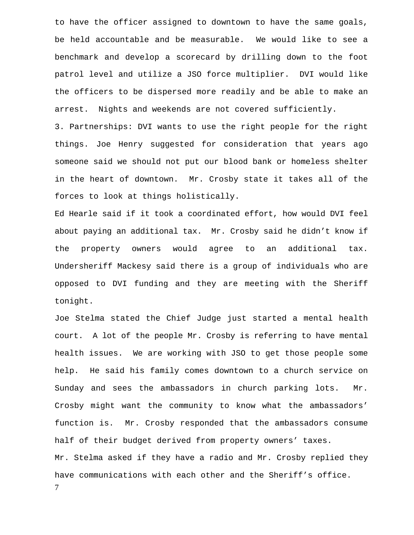to have the officer assigned to downtown to have the same goals, be held accountable and be measurable. We would like to see a benchmark and develop a scorecard by drilling down to the foot patrol level and utilize a JSO force multiplier. DVI would like the officers to be dispersed more readily and be able to make an arrest. Nights and weekends are not covered sufficiently.

3. Partnerships: DVI wants to use the right people for the right things. Joe Henry suggested for consideration that years ago someone said we should not put our blood bank or homeless shelter in the heart of downtown. Mr. Crosby state it takes all of the forces to look at things holistically.

Ed Hearle said if it took a coordinated effort, how would DVI feel about paying an additional tax. Mr. Crosby said he didn't know if the property owners would agree to an additional tax. Undersheriff Mackesy said there is a group of individuals who are opposed to DVI funding and they are meeting with the Sheriff tonight.

7 Joe Stelma stated the Chief Judge just started a mental health court. A lot of the people Mr. Crosby is referring to have mental health issues. We are working with JSO to get those people some help. He said his family comes downtown to a church service on Sunday and sees the ambassadors in church parking lots. Mr. Crosby might want the community to know what the ambassadors' function is. Mr. Crosby responded that the ambassadors consume half of their budget derived from property owners' taxes. Mr. Stelma asked if they have a radio and Mr. Crosby replied they have communications with each other and the Sheriff's office.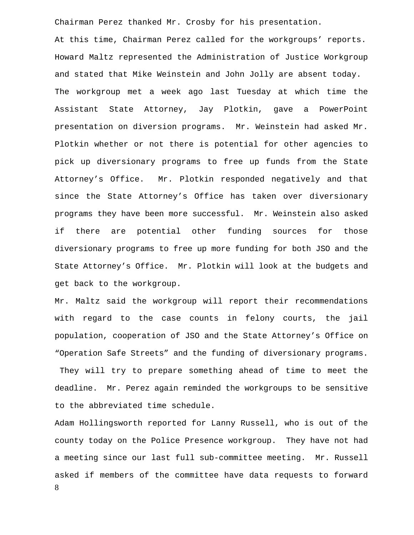Chairman Perez thanked Mr. Crosby for his presentation.

At this time, Chairman Perez called for the workgroups' reports. Howard Maltz represented the Administration of Justice Workgroup and stated that Mike Weinstein and John Jolly are absent today. The workgroup met a week ago last Tuesday at which time the Assistant State Attorney, Jay Plotkin, gave a PowerPoint presentation on diversion programs. Mr. Weinstein had asked Mr. Plotkin whether or not there is potential for other agencies to pick up diversionary programs to free up funds from the State Attorney's Office. Mr. Plotkin responded negatively and that since the State Attorney's Office has taken over diversionary programs they have been more successful. Mr. Weinstein also asked if there are potential other funding sources for those diversionary programs to free up more funding for both JSO and the State Attorney's Office. Mr. Plotkin will look at the budgets and get back to the workgroup.

Mr. Maltz said the workgroup will report their recommendations with regard to the case counts in felony courts, the jail population, cooperation of JSO and the State Attorney's Office on "Operation Safe Streets" and the funding of diversionary programs. They will try to prepare something ahead of time to meet the deadline. Mr. Perez again reminded the workgroups to be sensitive to the abbreviated time schedule.

8 Adam Hollingsworth reported for Lanny Russell, who is out of the county today on the Police Presence workgroup. They have not had a meeting since our last full sub-committee meeting. Mr. Russell asked if members of the committee have data requests to forward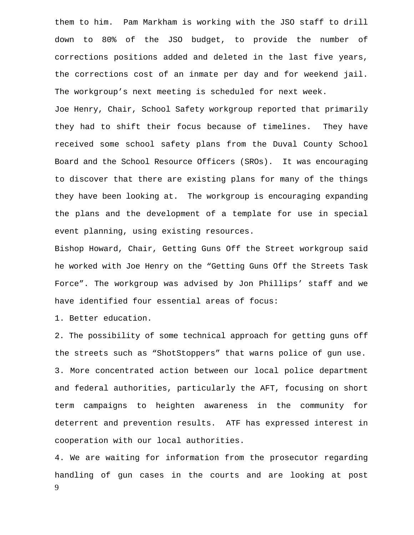them to him. Pam Markham is working with the JSO staff to drill down to 80% of the JSO budget, to provide the number of corrections positions added and deleted in the last five years, the corrections cost of an inmate per day and for weekend jail. The workgroup's next meeting is scheduled for next week.

Joe Henry, Chair, School Safety workgroup reported that primarily they had to shift their focus because of timelines. They have received some school safety plans from the Duval County School Board and the School Resource Officers (SROs). It was encouraging to discover that there are existing plans for many of the things they have been looking at. The workgroup is encouraging expanding the plans and the development of a template for use in special event planning, using existing resources.

Bishop Howard, Chair, Getting Guns Off the Street workgroup said he worked with Joe Henry on the "Getting Guns Off the Streets Task Force". The workgroup was advised by Jon Phillips' staff and we have identified four essential areas of focus:

1. Better education.

2. The possibility of some technical approach for getting guns off the streets such as "ShotStoppers" that warns police of gun use. 3. More concentrated action between our local police department and federal authorities, particularly the AFT, focusing on short term campaigns to heighten awareness in the community for deterrent and prevention results. ATF has expressed interest in cooperation with our local authorities.

9 4. We are waiting for information from the prosecutor regarding handling of gun cases in the courts and are looking at post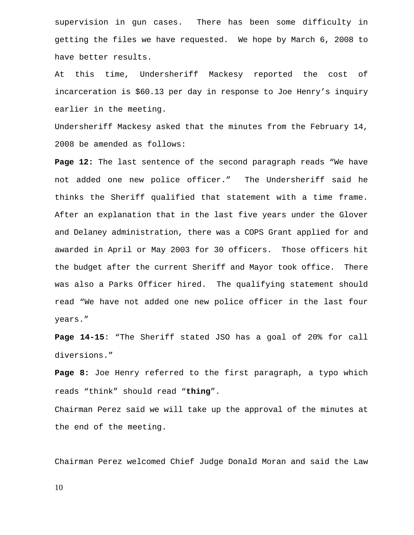supervision in gun cases. There has been some difficulty in getting the files we have requested. We hope by March 6, 2008 to have better results.

At this time, Undersheriff Mackesy reported the cost of incarceration is \$60.13 per day in response to Joe Henry's inquiry earlier in the meeting.

Undersheriff Mackesy asked that the minutes from the February 14, 2008 be amended as follows:

**Page 12:** The last sentence of the second paragraph reads "We have not added one new police officer." The Undersheriff said he thinks the Sheriff qualified that statement with a time frame. After an explanation that in the last five years under the Glover and Delaney administration, there was a COPS Grant applied for and awarded in April or May 2003 for 30 officers. Those officers hit the budget after the current Sheriff and Mayor took office. There was also a Parks Officer hired. The qualifying statement should read "We have not added one new police officer in the last four years."

**Page 14-15**: "The Sheriff stated JSO has a goal of 20% for call diversions."

**Page 8:** Joe Henry referred to the first paragraph, a typo which reads "think" should read "**thing**".

Chairman Perez said we will take up the approval of the minutes at the end of the meeting.

Chairman Perez welcomed Chief Judge Donald Moran and said the Law

10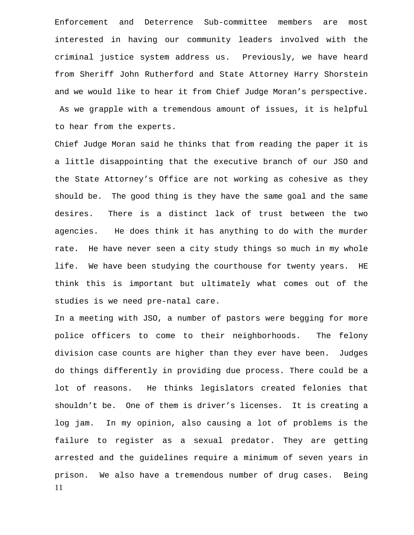Enforcement and Deterrence Sub-committee members are most interested in having our community leaders involved with the criminal justice system address us. Previously, we have heard from Sheriff John Rutherford and State Attorney Harry Shorstein and we would like to hear it from Chief Judge Moran's perspective. As we grapple with a tremendous amount of issues, it is helpful to hear from the experts.

Chief Judge Moran said he thinks that from reading the paper it is a little disappointing that the executive branch of our JSO and the State Attorney's Office are not working as cohesive as they should be. The good thing is they have the same goal and the same desires. There is a distinct lack of trust between the two agencies. He does think it has anything to do with the murder rate. He have never seen a city study things so much in my whole life. We have been studying the courthouse for twenty years. HE think this is important but ultimately what comes out of the studies is we need pre-natal care.

11 In a meeting with JSO, a number of pastors were begging for more police officers to come to their neighborhoods. The felony division case counts are higher than they ever have been. Judges do things differently in providing due process. There could be a lot of reasons. He thinks legislators created felonies that shouldn't be. One of them is driver's licenses. It is creating a log jam. In my opinion, also causing a lot of problems is the failure to register as a sexual predator. They are getting arrested and the guidelines require a minimum of seven years in prison. We also have a tremendous number of drug cases. Being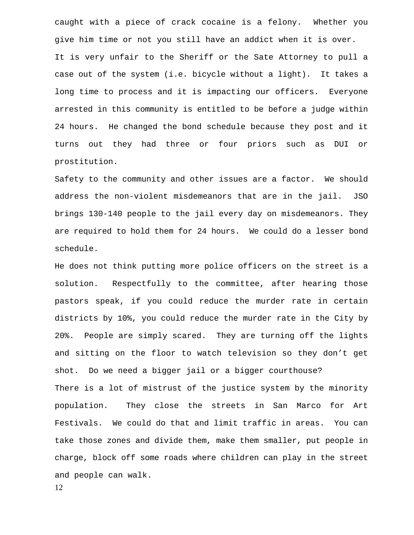caught with a piece of crack cocaine is a felony. Whether you give him time or not you still have an addict when it is over. It is very unfair to the Sheriff or the Sate Attorney to pull a case out of the system (i.e. bicycle without a light). It takes a long time to process and it is impacting our officers. Everyone arrested in this community is entitled to be before a judge within 24 hours. He changed the bond schedule because they post and it turns out they had three or four priors such as DUI or prostitution.

Safety to the community and other issues are a factor. We should address the non-violent misdemeanors that are in the jail. JSO brings 130-140 people to the jail every day on misdemeanors. They are required to hold them for 24 hours. We could do a lesser bond schedule.

He does not think putting more police officers on the street is a solution. Respectfully to the committee, after hearing those pastors speak, if you could reduce the murder rate in certain districts by 10%, you could reduce the murder rate in the City by 20%. People are simply scared. They are turning off the lights and sitting on the floor to watch television so they don't get shot. Do we need a bigger jail or a bigger courthouse? There is a lot of mistrust of the justice system by the minority population. They close the streets in San Marco for Art Festivals. We could do that and limit traffic in areas. You can take those zones and divide them, make them smaller, put people in charge, block off some roads where children can play in the street and people can walk.

12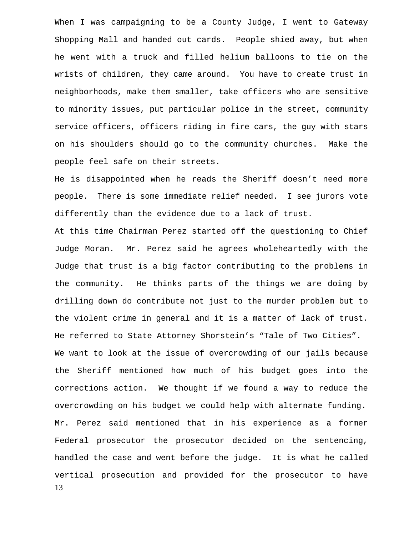When I was campaigning to be a County Judge, I went to Gateway Shopping Mall and handed out cards. People shied away, but when he went with a truck and filled helium balloons to tie on the wrists of children, they came around. You have to create trust in neighborhoods, make them smaller, take officers who are sensitive to minority issues, put particular police in the street, community service officers, officers riding in fire cars, the guy with stars on his shoulders should go to the community churches. Make the people feel safe on their streets.

He is disappointed when he reads the Sheriff doesn't need more people. There is some immediate relief needed. I see jurors vote differently than the evidence due to a lack of trust.

13 At this time Chairman Perez started off the questioning to Chief Judge Moran. Mr. Perez said he agrees wholeheartedly with the Judge that trust is a big factor contributing to the problems in the community. He thinks parts of the things we are doing by drilling down do contribute not just to the murder problem but to the violent crime in general and it is a matter of lack of trust. He referred to State Attorney Shorstein's "Tale of Two Cities". We want to look at the issue of overcrowding of our jails because the Sheriff mentioned how much of his budget goes into the corrections action. We thought if we found a way to reduce the overcrowding on his budget we could help with alternate funding. Mr. Perez said mentioned that in his experience as a former Federal prosecutor the prosecutor decided on the sentencing, handled the case and went before the judge. It is what he called vertical prosecution and provided for the prosecutor to have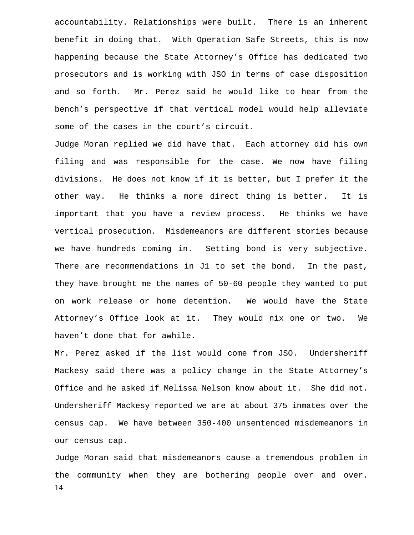accountability. Relationships were built. There is an inherent benefit in doing that. With Operation Safe Streets, this is now happening because the State Attorney's Office has dedicated two prosecutors and is working with JSO in terms of case disposition and so forth. Mr. Perez said he would like to hear from the bench's perspective if that vertical model would help alleviate some of the cases in the court's circuit.

Judge Moran replied we did have that. Each attorney did his own filing and was responsible for the case. We now have filing divisions. He does not know if it is better, but I prefer it the other way. He thinks a more direct thing is better. It is important that you have a review process. He thinks we have vertical prosecution. Misdemeanors are different stories because we have hundreds coming in. Setting bond is very subjective. There are recommendations in J1 to set the bond. In the past, they have brought me the names of 50-60 people they wanted to put on work release or home detention. We would have the State Attorney's Office look at it. They would nix one or two. We haven't done that for awhile.

Mr. Perez asked if the list would come from JSO. Undersheriff Mackesy said there was a policy change in the State Attorney's Office and he asked if Melissa Nelson know about it. She did not. Undersheriff Mackesy reported we are at about 375 inmates over the census cap. We have between 350-400 unsentenced misdemeanors in our census cap.

14 Judge Moran said that misdemeanors cause a tremendous problem in the community when they are bothering people over and over.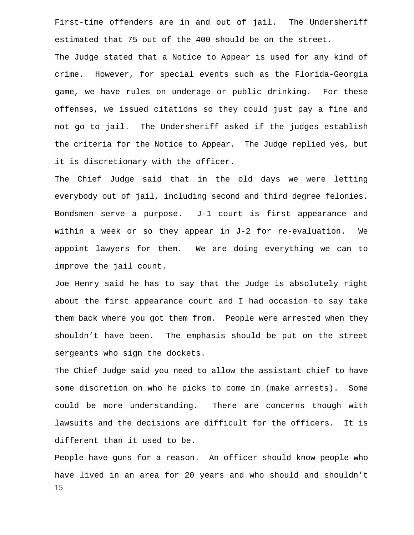First-time offenders are in and out of jail. The Undersheriff estimated that 75 out of the 400 should be on the street.

The Judge stated that a Notice to Appear is used for any kind of crime. However, for special events such as the Florida-Georgia game, we have rules on underage or public drinking. For these offenses, we issued citations so they could just pay a fine and not go to jail. The Undersheriff asked if the judges establish the criteria for the Notice to Appear. The Judge replied yes, but it is discretionary with the officer.

The Chief Judge said that in the old days we were letting everybody out of jail, including second and third degree felonies. Bondsmen serve a purpose. J-1 court is first appearance and within a week or so they appear in J-2 for re-evaluation. We appoint lawyers for them. We are doing everything we can to improve the jail count.

Joe Henry said he has to say that the Judge is absolutely right about the first appearance court and I had occasion to say take them back where you got them from. People were arrested when they shouldn't have been. The emphasis should be put on the street sergeants who sign the dockets.

The Chief Judge said you need to allow the assistant chief to have some discretion on who he picks to come in (make arrests). Some could be more understanding. There are concerns though with lawsuits and the decisions are difficult for the officers. It is different than it used to be.

15 People have guns for a reason. An officer should know people who have lived in an area for 20 years and who should and shouldn't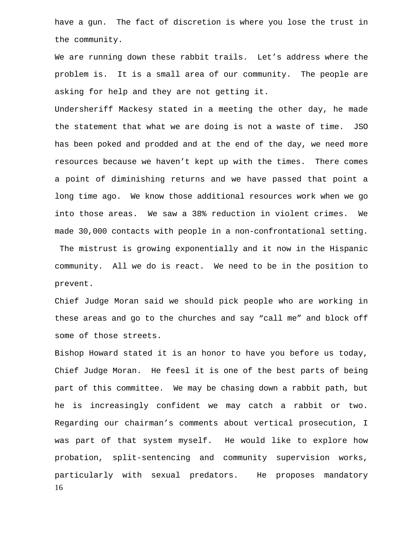have a gun. The fact of discretion is where you lose the trust in the community.

We are running down these rabbit trails. Let's address where the problem is. It is a small area of our community. The people are asking for help and they are not getting it.

Undersheriff Mackesy stated in a meeting the other day, he made the statement that what we are doing is not a waste of time. JSO has been poked and prodded and at the end of the day, we need more resources because we haven't kept up with the times. There comes a point of diminishing returns and we have passed that point a long time ago. We know those additional resources work when we go into those areas. We saw a 38% reduction in violent crimes. We made 30,000 contacts with people in a non-confrontational setting. The mistrust is growing exponentially and it now in the Hispanic community. All we do is react. We need to be in the position to

Chief Judge Moran said we should pick people who are working in these areas and go to the churches and say "call me" and block off some of those streets.

prevent.

16 Bishop Howard stated it is an honor to have you before us today, Chief Judge Moran. He feesl it is one of the best parts of being part of this committee. We may be chasing down a rabbit path, but he is increasingly confident we may catch a rabbit or two. Regarding our chairman's comments about vertical prosecution, I was part of that system myself. He would like to explore how probation, split-sentencing and community supervision works, particularly with sexual predators. He proposes mandatory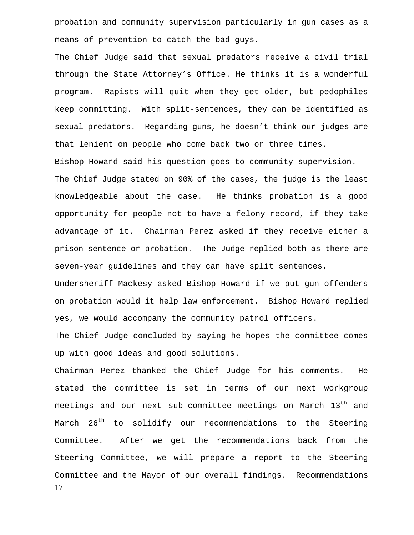probation and community supervision particularly in gun cases as a means of prevention to catch the bad guys.

The Chief Judge said that sexual predators receive a civil trial through the State Attorney's Office. He thinks it is a wonderful program. Rapists will quit when they get older, but pedophiles keep committing. With split-sentences, they can be identified as sexual predators. Regarding guns, he doesn't think our judges are that lenient on people who come back two or three times.

Bishop Howard said his question goes to community supervision. The Chief Judge stated on 90% of the cases, the judge is the least knowledgeable about the case. He thinks probation is a good opportunity for people not to have a felony record, if they take advantage of it. Chairman Perez asked if they receive either a prison sentence or probation. The Judge replied both as there are seven-year guidelines and they can have split sentences.

Undersheriff Mackesy asked Bishop Howard if we put gun offenders on probation would it help law enforcement. Bishop Howard replied yes, we would accompany the community patrol officers.

The Chief Judge concluded by saying he hopes the committee comes up with good ideas and good solutions.

17 Chairman Perez thanked the Chief Judge for his comments. He stated the committee is set in terms of our next workgroup meetings and our next sub-committee meetings on March 13<sup>th</sup> and March 26<sup>th</sup> to solidify our recommendations to the Steering Committee. After we get the recommendations back from the Steering Committee, we will prepare a report to the Steering Committee and the Mayor of our overall findings. Recommendations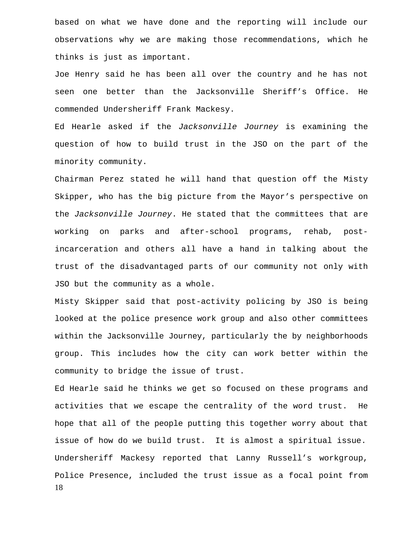based on what we have done and the reporting will include our observations why we are making those recommendations, which he thinks is just as important.

Joe Henry said he has been all over the country and he has not seen one better than the Jacksonville Sheriff's Office. He commended Undersheriff Frank Mackesy.

Ed Hearle asked if the *Jacksonville Journey* is examining the question of how to build trust in the JSO on the part of the minority community.

Chairman Perez stated he will hand that question off the Misty Skipper, who has the big picture from the Mayor's perspective on the *Jacksonville Journey*. He stated that the committees that are working on parks and after-school programs, rehab, postincarceration and others all have a hand in talking about the trust of the disadvantaged parts of our community not only with JSO but the community as a whole.

Misty Skipper said that post-activity policing by JSO is being looked at the police presence work group and also other committees within the Jacksonville Journey, particularly the by neighborhoods group. This includes how the city can work better within the community to bridge the issue of trust.

18 Ed Hearle said he thinks we get so focused on these programs and activities that we escape the centrality of the word trust. He hope that all of the people putting this together worry about that issue of how do we build trust. It is almost a spiritual issue. Undersheriff Mackesy reported that Lanny Russell's workgroup, Police Presence, included the trust issue as a focal point from